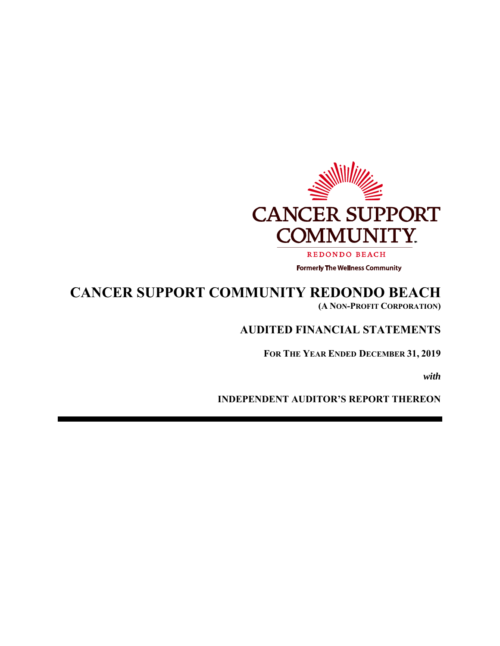

## **CANCER SUPPORT COMMUNITY REDONDO BEACH (A NON-PROFIT CORPORATION)**

# **AUDITED FINANCIAL STATEMENTS**

**FOR THE YEAR ENDED DECEMBER 31, 2019** 

*with* 

**INDEPENDENT AUDITOR'S REPORT THEREON**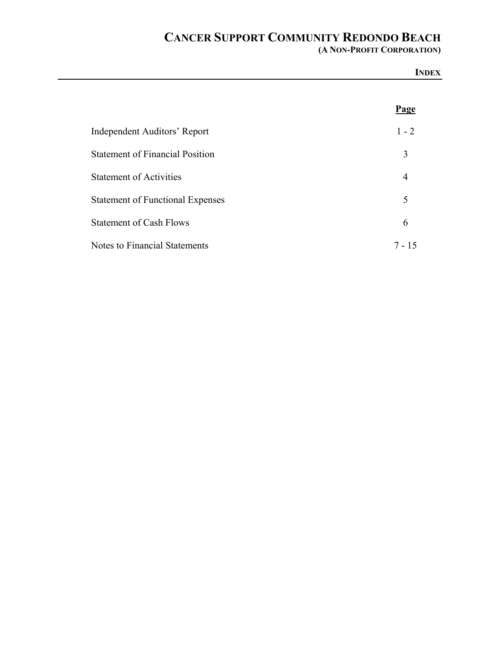**(A NON-PROFIT CORPORATION)**

|                                         | <b>INDEX</b> |
|-----------------------------------------|--------------|
|                                         | Page         |
| Independent Auditors' Report            | $1 - 2$      |
| <b>Statement of Financial Position</b>  | 3            |
| <b>Statement of Activities</b>          | 4            |
| <b>Statement of Functional Expenses</b> | 5            |
| <b>Statement of Cash Flows</b>          | 6            |
| Notes to Financial Statements           | $7 - 15$     |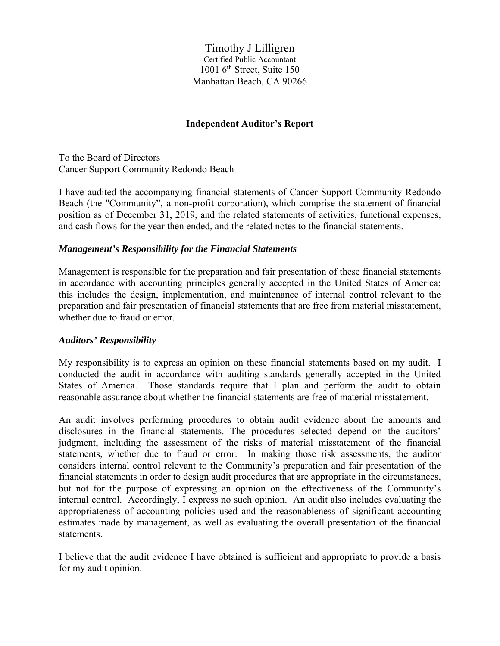Timothy J Lilligren Certified Public Accountant  $1001$  6<sup>th</sup> Street, Suite 150 Manhattan Beach, CA 90266

#### **Independent Auditor's Report**

To the Board of Directors Cancer Support Community Redondo Beach

I have audited the accompanying financial statements of Cancer Support Community Redondo Beach (the "Community", a non-profit corporation), which comprise the statement of financial position as of December 31, 2019, and the related statements of activities, functional expenses, and cash flows for the year then ended, and the related notes to the financial statements.

#### *Management's Responsibility for the Financial Statements*

Management is responsible for the preparation and fair presentation of these financial statements in accordance with accounting principles generally accepted in the United States of America; this includes the design, implementation, and maintenance of internal control relevant to the preparation and fair presentation of financial statements that are free from material misstatement, whether due to fraud or error.

#### *Auditors' Responsibility*

My responsibility is to express an opinion on these financial statements based on my audit. I conducted the audit in accordance with auditing standards generally accepted in the United States of America. Those standards require that I plan and perform the audit to obtain reasonable assurance about whether the financial statements are free of material misstatement.

An audit involves performing procedures to obtain audit evidence about the amounts and disclosures in the financial statements. The procedures selected depend on the auditors' judgment, including the assessment of the risks of material misstatement of the financial statements, whether due to fraud or error. In making those risk assessments, the auditor considers internal control relevant to the Community's preparation and fair presentation of the financial statements in order to design audit procedures that are appropriate in the circumstances, but not for the purpose of expressing an opinion on the effectiveness of the Community's internal control. Accordingly, I express no such opinion. An audit also includes evaluating the appropriateness of accounting policies used and the reasonableness of significant accounting estimates made by management, as well as evaluating the overall presentation of the financial statements.

I believe that the audit evidence I have obtained is sufficient and appropriate to provide a basis for my audit opinion.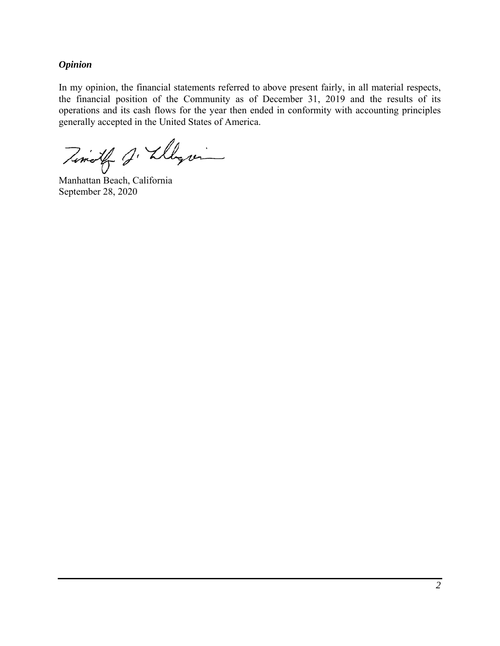#### *Opinion*

In my opinion, the financial statements referred to above present fairly, in all material respects, the financial position of the Community as of December 31, 2019 and the results of its operations and its cash flows for the year then ended in conformity with accounting principles generally accepted in the United States of America.

Manhattan Beach, California

September 28, 2020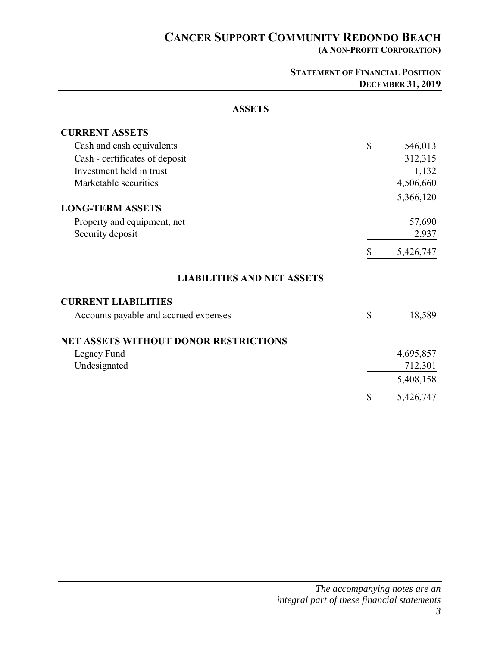**(A NON-PROFIT CORPORATION)** 

|                                              | <b>STATEMENT OF FINANCIAL POSITION</b> | <b>DECEMBER 31, 2019</b> |
|----------------------------------------------|----------------------------------------|--------------------------|
| <b>ASSETS</b>                                |                                        |                          |
| <b>CURRENT ASSETS</b>                        |                                        |                          |
| Cash and cash equivalents                    | \$                                     | 546,013                  |
| Cash - certificates of deposit               |                                        | 312,315                  |
| Investment held in trust                     |                                        | 1,132                    |
| Marketable securities                        |                                        | 4,506,660                |
|                                              |                                        | 5,366,120                |
| <b>LONG-TERM ASSETS</b>                      |                                        |                          |
| Property and equipment, net                  |                                        | 57,690                   |
| Security deposit                             |                                        | 2,937                    |
|                                              | \$                                     | 5,426,747                |
| <b>LIABILITIES AND NET ASSETS</b>            |                                        |                          |
| <b>CURRENT LIABILITIES</b>                   |                                        |                          |
| Accounts payable and accrued expenses        | \$                                     | 18,589                   |
| <b>NET ASSETS WITHOUT DONOR RESTRICTIONS</b> |                                        |                          |
| Legacy Fund                                  |                                        | 4,695,857                |
| Undesignated                                 |                                        | 712,301                  |
|                                              |                                        | 5,408,158                |
|                                              | \$                                     | 5,426,747                |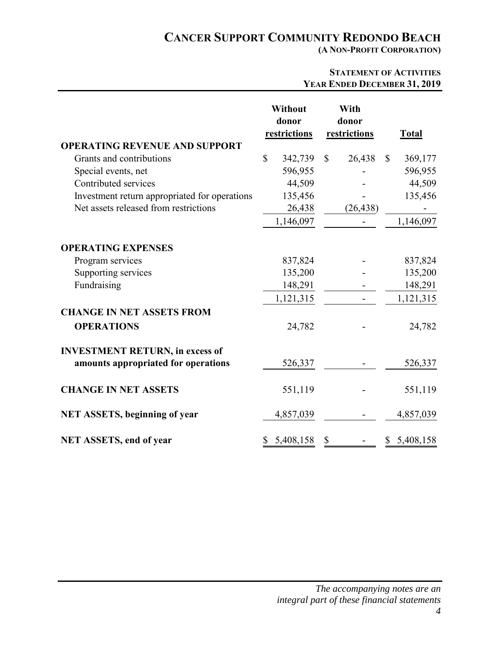**(A NON-PROFIT CORPORATION)** 

#### **STATEMENT OF ACTIVITIES YEAR ENDED DECEMBER 31, 2019**

|                                               | Without<br>donor<br>restrictions |              | With<br>donor<br>restrictions |              | <b>Total</b> |
|-----------------------------------------------|----------------------------------|--------------|-------------------------------|--------------|--------------|
| <b>OPERATING REVENUE AND SUPPORT</b>          |                                  |              |                               |              |              |
| Grants and contributions                      | $\mathbb{S}$<br>342,739          | $\mathbb{S}$ | 26,438                        | $\mathbb{S}$ | 369,177      |
| Special events, net                           | 596,955                          |              |                               |              | 596,955      |
| Contributed services                          | 44,509                           |              |                               |              | 44,509       |
| Investment return appropriated for operations | 135,456                          |              |                               |              | 135,456      |
| Net assets released from restrictions         | 26,438                           |              | (26, 438)                     |              |              |
|                                               | 1,146,097                        |              |                               |              | 1,146,097    |
| <b>OPERATING EXPENSES</b>                     |                                  |              |                               |              |              |
| Program services                              | 837,824                          |              |                               |              | 837,824      |
| Supporting services                           | 135,200                          |              |                               |              | 135,200      |
| Fundraising                                   | 148,291                          |              |                               |              | 148,291      |
|                                               | 1,121,315                        |              |                               |              | 1,121,315    |
| <b>CHANGE IN NET ASSETS FROM</b>              |                                  |              |                               |              |              |
| <b>OPERATIONS</b>                             | 24,782                           |              |                               |              | 24,782       |
| <b>INVESTMENT RETURN, in excess of</b>        |                                  |              |                               |              |              |
| amounts appropriated for operations           | 526,337                          |              |                               |              | 526,337      |
| <b>CHANGE IN NET ASSETS</b>                   | 551,119                          |              |                               |              | 551,119      |
| NET ASSETS, beginning of year                 | 4,857,039                        |              |                               |              | 4,857,039    |
| NET ASSETS, end of year                       | 5,408,158<br>\$                  | \$           |                               |              | \$5,408,158  |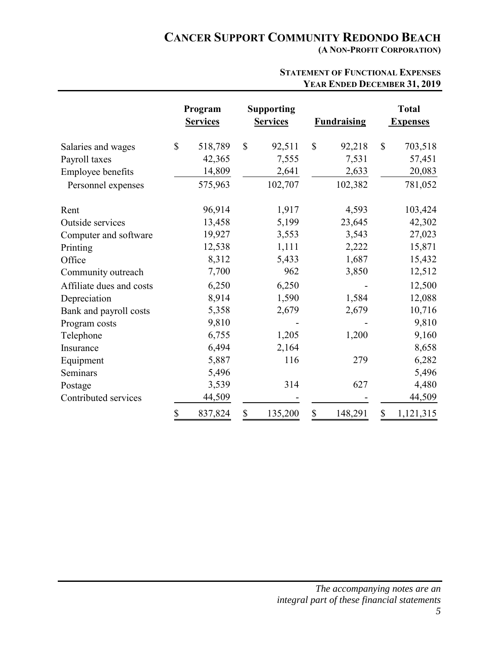**(A NON-PROFIT CORPORATION)** 

|                          |              | Program<br><b>Services</b> |              | <b>Supporting</b><br><b>Services</b> |              | <b>Fundraising</b> |              | <b>Total</b><br><b>Expenses</b> |
|--------------------------|--------------|----------------------------|--------------|--------------------------------------|--------------|--------------------|--------------|---------------------------------|
| Salaries and wages       | $\mathbb{S}$ | 518,789                    | $\mathbb{S}$ | 92,511                               | $\mathbb{S}$ | 92,218             | $\mathbb{S}$ | 703,518                         |
| Payroll taxes            |              | 42,365                     |              | 7,555                                |              | 7,531              |              | 57,451                          |
| Employee benefits        |              | 14,809                     |              | 2,641                                |              | 2,633              |              | 20,083                          |
| Personnel expenses       |              | 575,963                    |              | 102,707                              |              | 102,382            |              | 781,052                         |
| Rent                     |              | 96,914                     |              | 1,917                                |              | 4,593              |              | 103,424                         |
| Outside services         |              | 13,458                     |              | 5,199                                |              | 23,645             |              | 42,302                          |
| Computer and software    |              | 19,927                     |              | 3,553                                |              | 3,543              |              | 27,023                          |
| Printing                 |              | 12,538                     |              | 1,111                                |              | 2,222              |              | 15,871                          |
| Office                   |              | 8,312                      |              | 5,433                                |              | 1,687              |              | 15,432                          |
| Community outreach       |              | 7,700                      |              | 962                                  |              | 3,850              |              | 12,512                          |
| Affiliate dues and costs |              | 6,250                      |              | 6,250                                |              |                    |              | 12,500                          |
| Depreciation             |              | 8,914                      |              | 1,590                                |              | 1,584              |              | 12,088                          |
| Bank and payroll costs   |              | 5,358                      |              | 2,679                                |              | 2,679              |              | 10,716                          |
| Program costs            |              | 9,810                      |              |                                      |              |                    |              | 9,810                           |
| Telephone                |              | 6,755                      |              | 1,205                                |              | 1,200              |              | 9,160                           |
| Insurance                |              | 6,494                      |              | 2,164                                |              |                    |              | 8,658                           |
| Equipment                |              | 5,887                      |              | 116                                  |              | 279                |              | 6,282                           |
| Seminars                 |              | 5,496                      |              |                                      |              |                    |              | 5,496                           |
| Postage                  |              | 3,539                      |              | 314                                  |              | 627                |              | 4,480                           |
| Contributed services     |              | 44,509                     |              |                                      |              |                    |              | 44,509                          |
|                          | \$           | 837,824                    | \$           | 135,200                              | \$           | 148,291            | $\mathbb{S}$ | 1,121,315                       |

#### **STATEMENT OF FUNCTIONAL EXPENSES YEAR ENDED DECEMBER 31, 2019**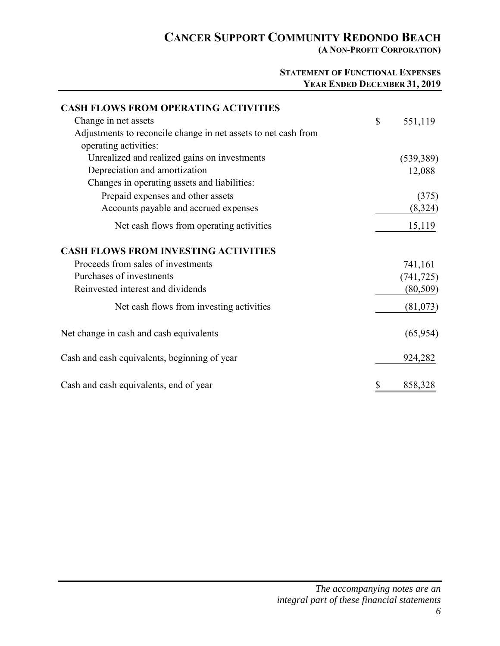**(A NON-PROFIT CORPORATION)** 

#### **STATEMENT OF FUNCTIONAL EXPENSES YEAR ENDED DECEMBER 31, 2019**

| <b>CASH FLOWS FROM OPERATING ACTIVITIES</b>                    |              |            |
|----------------------------------------------------------------|--------------|------------|
| Change in net assets                                           | $\mathbb{S}$ | 551,119    |
| Adjustments to reconcile change in net assets to net cash from |              |            |
| operating activities:                                          |              |            |
| Unrealized and realized gains on investments                   |              | (539, 389) |
| Depreciation and amortization                                  |              | 12,088     |
| Changes in operating assets and liabilities:                   |              |            |
| Prepaid expenses and other assets                              |              | (375)      |
| Accounts payable and accrued expenses                          |              | (8, 324)   |
| Net cash flows from operating activities                       |              | 15,119     |
| <b>CASH FLOWS FROM INVESTING ACTIVITIES</b>                    |              |            |
| Proceeds from sales of investments                             |              | 741,161    |
| Purchases of investments                                       |              | (741, 725) |
| Reinvested interest and dividends                              |              | (80, 509)  |
| Net cash flows from investing activities                       |              | (81,073)   |
| Net change in cash and cash equivalents                        |              | (65, 954)  |
| Cash and cash equivalents, beginning of year                   |              | 924,282    |
| Cash and cash equivalents, end of year                         | \$           | 858,328    |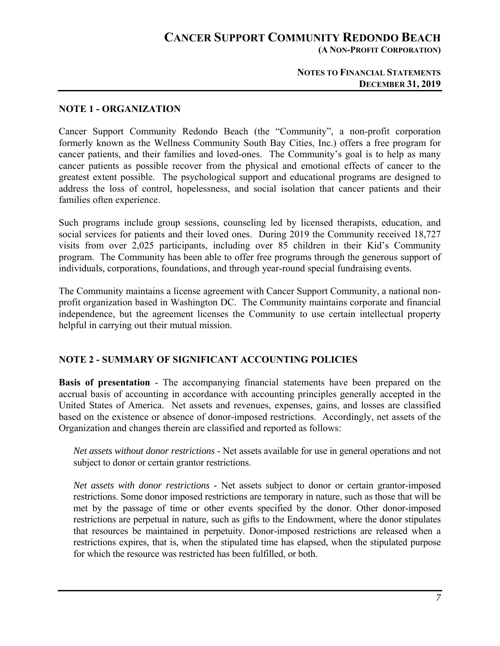### **CANCER SUPPORT COMMUNITY REDONDO BEACH (A NON-PROFIT CORPORATION)**

#### **NOTES TO FINANCIAL STATEMENTS DECEMBER 31, 2019**

#### **NOTE 1 - ORGANIZATION**

Cancer Support Community Redondo Beach (the "Community", a non-profit corporation formerly known as the Wellness Community South Bay Cities, Inc.) offers a free program for cancer patients, and their families and loved-ones. The Community's goal is to help as many cancer patients as possible recover from the physical and emotional effects of cancer to the greatest extent possible. The psychological support and educational programs are designed to address the loss of control, hopelessness, and social isolation that cancer patients and their families often experience.

Such programs include group sessions, counseling led by licensed therapists, education, and social services for patients and their loved ones. During 2019 the Community received 18,727 visits from over 2,025 participants, including over 85 children in their Kid's Community program. The Community has been able to offer free programs through the generous support of individuals, corporations, foundations, and through year-round special fundraising events.

The Community maintains a license agreement with Cancer Support Community, a national nonprofit organization based in Washington DC. The Community maintains corporate and financial independence, but the agreement licenses the Community to use certain intellectual property helpful in carrying out their mutual mission.

#### **NOTE 2 - SUMMARY OF SIGNIFICANT ACCOUNTING POLICIES**

**Basis of presentation** - The accompanying financial statements have been prepared on the accrual basis of accounting in accordance with accounting principles generally accepted in the United States of America. Net assets and revenues, expenses, gains, and losses are classified based on the existence or absence of donor-imposed restrictions. Accordingly, net assets of the Organization and changes therein are classified and reported as follows:

*Net assets without donor restrictions* - Net assets available for use in general operations and not subject to donor or certain grantor restrictions.

*Net assets with donor restrictions -* Net assets subject to donor or certain grantor-imposed restrictions. Some donor imposed restrictions are temporary in nature, such as those that will be met by the passage of time or other events specified by the donor. Other donor-imposed restrictions are perpetual in nature, such as gifts to the Endowment, where the donor stipulates that resources be maintained in perpetuity. Donor-imposed restrictions are released when a restrictions expires, that is, when the stipulated time has elapsed, when the stipulated purpose for which the resource was restricted has been fulfilled, or both.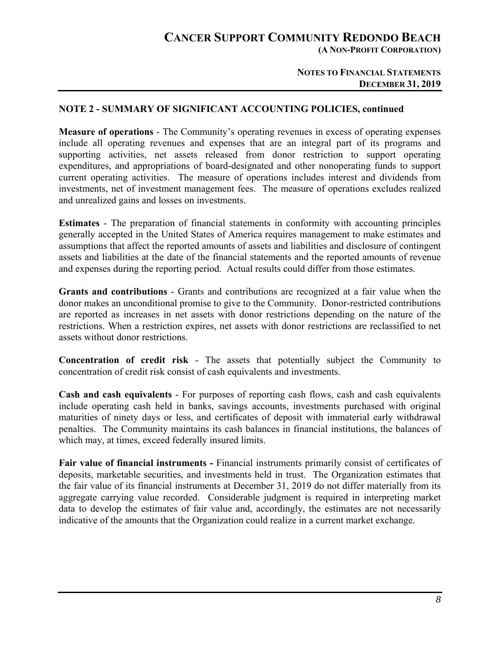**(A NON-PROFIT CORPORATION)** 

#### **NOTES TO FINANCIAL STATEMENTS DECEMBER 31, 2019**

#### **NOTE 2 - SUMMARY OF SIGNIFICANT ACCOUNTING POLICIES, continued**

**Measure of operations** - The Community's operating revenues in excess of operating expenses include all operating revenues and expenses that are an integral part of its programs and supporting activities, net assets released from donor restriction to support operating expenditures, and appropriations of board-designated and other nonoperating funds to support current operating activities. The measure of operations includes interest and dividends from investments, net of investment management fees. The measure of operations excludes realized and unrealized gains and losses on investments.

**Estimates** - The preparation of financial statements in conformity with accounting principles generally accepted in the United States of America requires management to make estimates and assumptions that affect the reported amounts of assets and liabilities and disclosure of contingent assets and liabilities at the date of the financial statements and the reported amounts of revenue and expenses during the reporting period. Actual results could differ from those estimates.

**Grants and contributions** - Grants and contributions are recognized at a fair value when the donor makes an unconditional promise to give to the Community. Donor-restricted contributions are reported as increases in net assets with donor restrictions depending on the nature of the restrictions. When a restriction expires, net assets with donor restrictions are reclassified to net assets without donor restrictions.

**Concentration of credit risk** - The assets that potentially subject the Community to concentration of credit risk consist of cash equivalents and investments.

**Cash and cash equivalents** - For purposes of reporting cash flows, cash and cash equivalents include operating cash held in banks, savings accounts, investments purchased with original maturities of ninety days or less, and certificates of deposit with immaterial early withdrawal penalties. The Community maintains its cash balances in financial institutions, the balances of which may, at times, exceed federally insured limits.

**Fair value of financial instruments -** Financial instruments primarily consist of certificates of deposits, marketable securities, and investments held in trust. The Organization estimates that the fair value of its financial instruments at December 31, 2019 do not differ materially from its aggregate carrying value recorded. Considerable judgment is required in interpreting market data to develop the estimates of fair value and, accordingly, the estimates are not necessarily indicative of the amounts that the Organization could realize in a current market exchange.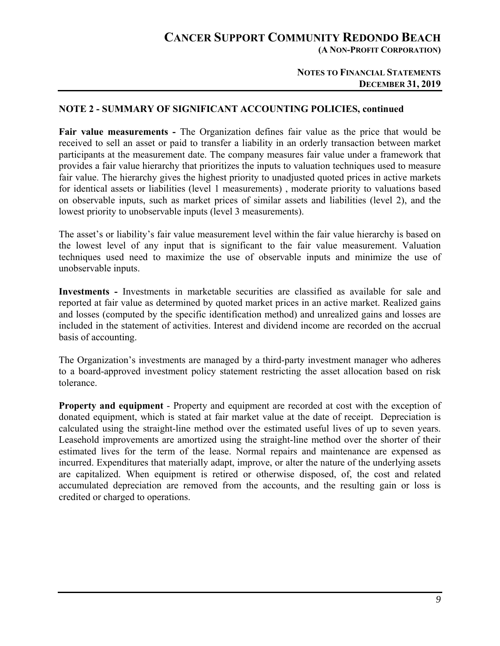**(A NON-PROFIT CORPORATION)** 

#### **NOTES TO FINANCIAL STATEMENTS DECEMBER 31, 2019**

#### **NOTE 2 - SUMMARY OF SIGNIFICANT ACCOUNTING POLICIES, continued**

**Fair value measurements -** The Organization defines fair value as the price that would be received to sell an asset or paid to transfer a liability in an orderly transaction between market participants at the measurement date. The company measures fair value under a framework that provides a fair value hierarchy that prioritizes the inputs to valuation techniques used to measure fair value. The hierarchy gives the highest priority to unadjusted quoted prices in active markets for identical assets or liabilities (level 1 measurements) , moderate priority to valuations based on observable inputs, such as market prices of similar assets and liabilities (level 2), and the lowest priority to unobservable inputs (level 3 measurements).

The asset's or liability's fair value measurement level within the fair value hierarchy is based on the lowest level of any input that is significant to the fair value measurement. Valuation techniques used need to maximize the use of observable inputs and minimize the use of unobservable inputs.

**Investments -** Investments in marketable securities are classified as available for sale and reported at fair value as determined by quoted market prices in an active market. Realized gains and losses (computed by the specific identification method) and unrealized gains and losses are included in the statement of activities. Interest and dividend income are recorded on the accrual basis of accounting.

The Organization's investments are managed by a third-party investment manager who adheres to a board-approved investment policy statement restricting the asset allocation based on risk tolerance.

**Property and equipment** - Property and equipment are recorded at cost with the exception of donated equipment, which is stated at fair market value at the date of receipt. Depreciation is calculated using the straight-line method over the estimated useful lives of up to seven years. Leasehold improvements are amortized using the straight-line method over the shorter of their estimated lives for the term of the lease. Normal repairs and maintenance are expensed as incurred. Expenditures that materially adapt, improve, or alter the nature of the underlying assets are capitalized. When equipment is retired or otherwise disposed, of, the cost and related accumulated depreciation are removed from the accounts, and the resulting gain or loss is credited or charged to operations.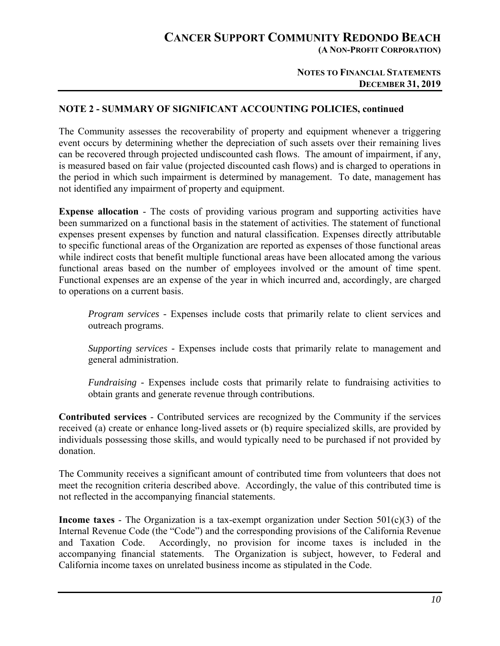**(A NON-PROFIT CORPORATION)** 

#### **NOTES TO FINANCIAL STATEMENTS DECEMBER 31, 2019**

#### **NOTE 2 - SUMMARY OF SIGNIFICANT ACCOUNTING POLICIES, continued**

The Community assesses the recoverability of property and equipment whenever a triggering event occurs by determining whether the depreciation of such assets over their remaining lives can be recovered through projected undiscounted cash flows. The amount of impairment, if any, is measured based on fair value (projected discounted cash flows) and is charged to operations in the period in which such impairment is determined by management. To date, management has not identified any impairment of property and equipment.

**Expense allocation** - The costs of providing various program and supporting activities have been summarized on a functional basis in the statement of activities. The statement of functional expenses present expenses by function and natural classification. Expenses directly attributable to specific functional areas of the Organization are reported as expenses of those functional areas while indirect costs that benefit multiple functional areas have been allocated among the various functional areas based on the number of employees involved or the amount of time spent. Functional expenses are an expense of the year in which incurred and, accordingly, are charged to operations on a current basis.

*Program services - Expenses include costs that primarily relate to client services and* outreach programs.

*Supporting services -* Expenses include costs that primarily relate to management and general administration.

*Fundraising -* Expenses include costs that primarily relate to fundraising activities to obtain grants and generate revenue through contributions.

**Contributed services** - Contributed services are recognized by the Community if the services received (a) create or enhance long-lived assets or (b) require specialized skills, are provided by individuals possessing those skills, and would typically need to be purchased if not provided by donation.

The Community receives a significant amount of contributed time from volunteers that does not meet the recognition criteria described above. Accordingly, the value of this contributed time is not reflected in the accompanying financial statements.

**Income taxes** - The Organization is a tax-exempt organization under Section 501(c)(3) of the Internal Revenue Code (the "Code") and the corresponding provisions of the California Revenue and Taxation Code. Accordingly, no provision for income taxes is included in the accompanying financial statements. The Organization is subject, however, to Federal and California income taxes on unrelated business income as stipulated in the Code.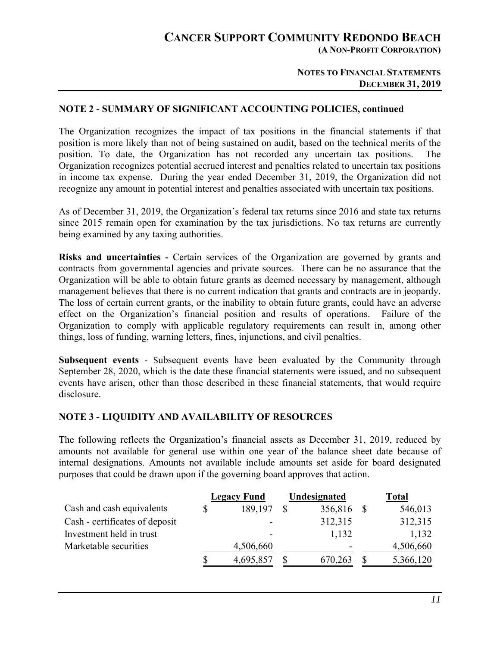**(A NON-PROFIT CORPORATION)** 

#### **NOTES TO FINANCIAL STATEMENTS DECEMBER 31, 2019**

#### **NOTE 2 - SUMMARY OF SIGNIFICANT ACCOUNTING POLICIES, continued**

The Organization recognizes the impact of tax positions in the financial statements if that position is more likely than not of being sustained on audit, based on the technical merits of the position. To date, the Organization has not recorded any uncertain tax positions. The Organization recognizes potential accrued interest and penalties related to uncertain tax positions in income tax expense. During the year ended December 31, 2019, the Organization did not recognize any amount in potential interest and penalties associated with uncertain tax positions.

As of December 31, 2019, the Organization's federal tax returns since 2016 and state tax returns since 2015 remain open for examination by the tax jurisdictions. No tax returns are currently being examined by any taxing authorities.

**Risks and uncertainties -** Certain services of the Organization are governed by grants and contracts from governmental agencies and private sources. There can be no assurance that the Organization will be able to obtain future grants as deemed necessary by management, although management believes that there is no current indication that grants and contracts are in jeopardy. The loss of certain current grants, or the inability to obtain future grants, could have an adverse effect on the Organization's financial position and results of operations. Failure of the Organization to comply with applicable regulatory requirements can result in, among other things, loss of funding, warning letters, fines, injunctions, and civil penalties.

**Subsequent events** - Subsequent events have been evaluated by the Community through September 28, 2020, which is the date these financial statements were issued, and no subsequent events have arisen, other than those described in these financial statements, that would require disclosure.

#### **NOTE 3 - LIQUIDITY AND AVAILABILITY OF RESOURCES**

The following reflects the Organization's financial assets as December 31, 2019, reduced by amounts not available for general use within one year of the balance sheet date because of internal designations. Amounts not available include amounts set aside for board designated purposes that could be drawn upon if the governing board approves that action.

|                                |   | <b>Legacy Fund</b> |   | Undesignated |   | Total     |
|--------------------------------|---|--------------------|---|--------------|---|-----------|
| Cash and cash equivalents      |   | 189,197            | S | 356,816      |   | 546,013   |
| Cash - certificates of deposit |   |                    |   | 312,315      |   | 312,315   |
| Investment held in trust       |   | ۰                  |   | 1,132        |   | 1,132     |
| Marketable securities          |   | 4,506,660          |   |              |   | 4,506,660 |
|                                | S | 4,695,857          | S | 670,263      | S | 5,366,120 |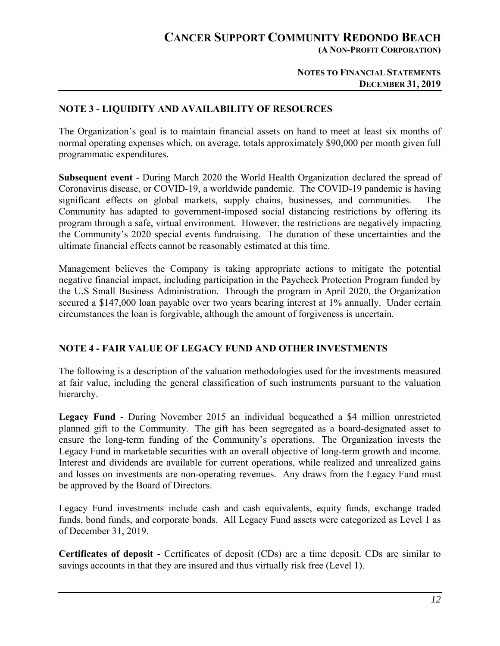**CANCER SUPPORT COMMUNITY REDONDO BEACH (A NON-PROFIT CORPORATION)** 

> **NOTES TO FINANCIAL STATEMENTS DECEMBER 31, 2019**

#### **NOTE 3 - LIQUIDITY AND AVAILABILITY OF RESOURCES**

The Organization's goal is to maintain financial assets on hand to meet at least six months of normal operating expenses which, on average, totals approximately \$90,000 per month given full programmatic expenditures.

**Subsequent event** - During March 2020 the World Health Organization declared the spread of Coronavirus disease, or COVID-19, a worldwide pandemic. The COVID-19 pandemic is having significant effects on global markets, supply chains, businesses, and communities. The Community has adapted to government-imposed social distancing restrictions by offering its program through a safe, virtual environment. However, the restrictions are negatively impacting the Community's 2020 special events fundraising. The duration of these uncertainties and the ultimate financial effects cannot be reasonably estimated at this time.

Management believes the Company is taking appropriate actions to mitigate the potential negative financial impact, including participation in the Paycheck Protection Program funded by the U.S Small Business Administration. Through the program in April 2020, the Organization secured a \$147,000 loan payable over two years bearing interest at 1% annually. Under certain circumstances the loan is forgivable, although the amount of forgiveness is uncertain.

#### **NOTE 4 - FAIR VALUE OF LEGACY FUND AND OTHER INVESTMENTS**

The following is a description of the valuation methodologies used for the investments measured at fair value, including the general classification of such instruments pursuant to the valuation hierarchy.

**Legacy Fund** - During November 2015 an individual bequeathed a \$4 million unrestricted planned gift to the Community. The gift has been segregated as a board-designated asset to ensure the long-term funding of the Community's operations. The Organization invests the Legacy Fund in marketable securities with an overall objective of long-term growth and income. Interest and dividends are available for current operations, while realized and unrealized gains and losses on investments are non-operating revenues. Any draws from the Legacy Fund must be approved by the Board of Directors.

Legacy Fund investments include cash and cash equivalents, equity funds, exchange traded funds, bond funds, and corporate bonds. All Legacy Fund assets were categorized as Level 1 as of December 31, 2019.

**Certificates of deposit** - Certificates of deposit (CDs) are a time deposit. CDs are similar to savings accounts in that they are insured and thus virtually risk free (Level 1).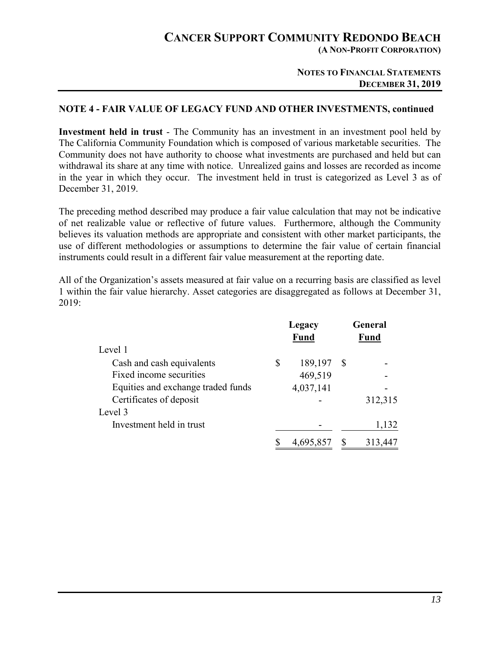**(A NON-PROFIT CORPORATION)** 

#### **NOTES TO FINANCIAL STATEMENTS DECEMBER 31, 2019**

#### **NOTE 4 - FAIR VALUE OF LEGACY FUND AND OTHER INVESTMENTS, continued**

**Investment held in trust** - The Community has an investment in an investment pool held by The California Community Foundation which is composed of various marketable securities. The Community does not have authority to choose what investments are purchased and held but can withdrawal its share at any time with notice. Unrealized gains and losses are recorded as income in the year in which they occur. The investment held in trust is categorized as Level 3 as of December 31, 2019.

The preceding method described may produce a fair value calculation that may not be indicative of net realizable value or reflective of future values. Furthermore, although the Community believes its valuation methods are appropriate and consistent with other market participants, the use of different methodologies or assumptions to determine the fair value of certain financial instruments could result in a different fair value measurement at the reporting date.

All of the Organization's assets measured at fair value on a recurring basis are classified as level 1 within the fair value hierarchy. Asset categories are disaggregated as follows at December 31, 2019:

|                                    |   | Legacy<br><b>Fund</b> | General<br>Fund |
|------------------------------------|---|-----------------------|-----------------|
| Level 1                            |   |                       |                 |
| Cash and cash equivalents          | S | 189,197               |                 |
| Fixed income securities            |   | 469,519               |                 |
| Equities and exchange traded funds |   | 4,037,141             |                 |
| Certificates of deposit            |   |                       | 312,315         |
| Level 3                            |   |                       |                 |
| Investment held in trust           |   |                       | 1,132           |
|                                    |   | 4,695,857             | 313,447         |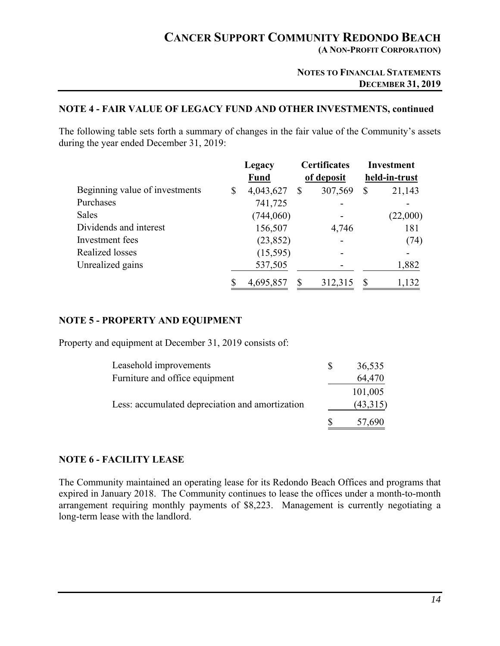**(A NON-PROFIT CORPORATION)** 

#### **NOTES TO FINANCIAL STATEMENTS DECEMBER 31, 2019**

#### **NOTE 4 - FAIR VALUE OF LEGACY FUND AND OTHER INVESTMENTS, continued**

The following table sets forth a summary of changes in the fair value of the Community's assets during the year ended December 31, 2019:

|                                | Legacy<br><b>Fund</b> |           |              | <b>Certificates</b> |               | <b>Investment</b> |
|--------------------------------|-----------------------|-----------|--------------|---------------------|---------------|-------------------|
|                                |                       |           | of deposit   |                     | held-in-trust |                   |
| Beginning value of investments |                       | 4,043,627 | <sup>S</sup> | 307,569             | \$            | 21,143            |
| Purchases                      |                       | 741,725   |              |                     |               |                   |
| Sales                          |                       | (744,060) |              |                     |               | (22,000)          |
| Dividends and interest         |                       | 156,507   |              | 4,746               |               | 181               |
| Investment fees                |                       | (23, 852) |              |                     |               | (74)              |
| <b>Realized losses</b>         |                       | (15,595)  |              |                     |               |                   |
| Unrealized gains               |                       | 537,505   |              |                     |               | 1,882             |
|                                |                       | 4,695,857 |              | 312,315             |               | 1,132             |

#### **NOTE 5 - PROPERTY AND EQUIPMENT**

Property and equipment at December 31, 2019 consists of:

| Leasehold improvements                          | 36,535   |
|-------------------------------------------------|----------|
| Furniture and office equipment                  | 64,470   |
|                                                 | 101,005  |
| Less: accumulated depreciation and amortization | (43,315) |
|                                                 | 57,690   |

#### **NOTE 6 - FACILITY LEASE**

The Community maintained an operating lease for its Redondo Beach Offices and programs that expired in January 2018. The Community continues to lease the offices under a month-to-month arrangement requiring monthly payments of \$8,223. Management is currently negotiating a long-term lease with the landlord.